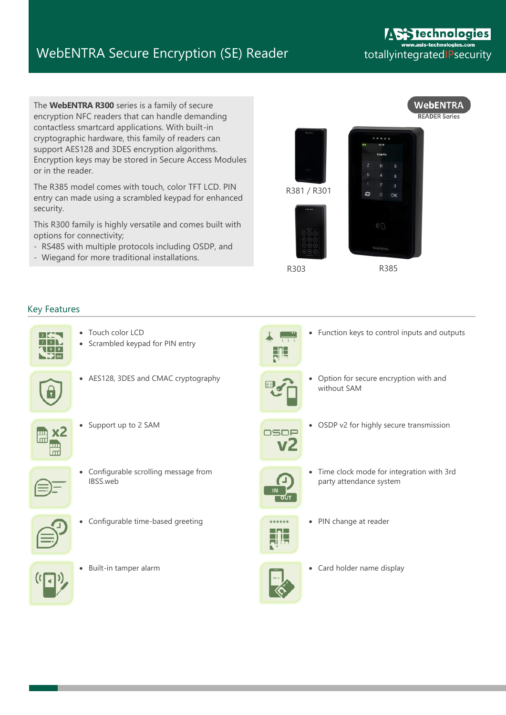## WebENTRA Secure Encryption (SE) Reader totallyintegratedIPsecurity

The **WebENTRA R300** series is a family of secure encryption NFC readers that can handle demanding contactless smartcard applications. With built-in cryptographic hardware, this family of readers can support AES128 and 3DES encryption algorithms. Encryption keys may be stored in Secure Access Modules or in the reader.

The R385 model comes with touch, color TFT LCD. PIN entry can made using a scrambled keypad for enhanced security.

This R300 family is highly versatile and comes built with options for connectivity;

- RS485 with multiple protocols including OSDP, and
- Wiegand for more traditional installations.



R303

R385

Function keys to control inputs and outputs

## Key Features

- $\overline{\mathbf{3}}$  $711$  $\sqrt{58}$
- Touch color LCD
- Scrambled keypad for PIN entry



• AES128, 3DES and CMAC cryptography very contract to Option for secure encryption with and





 Configurable scrolling message from IBSS.web



Configurable time-based greeting **PIN Change at reader PIN** change at reader



- 
- 
- without SAM



Support up to 2 SAM **OSDP** • OSDP v2 for highly secure transmission



 Time clock mode for integration with 3rd party attendance system





Built-in tamper alarm **Card holder is a card holder name display** Card holder name display